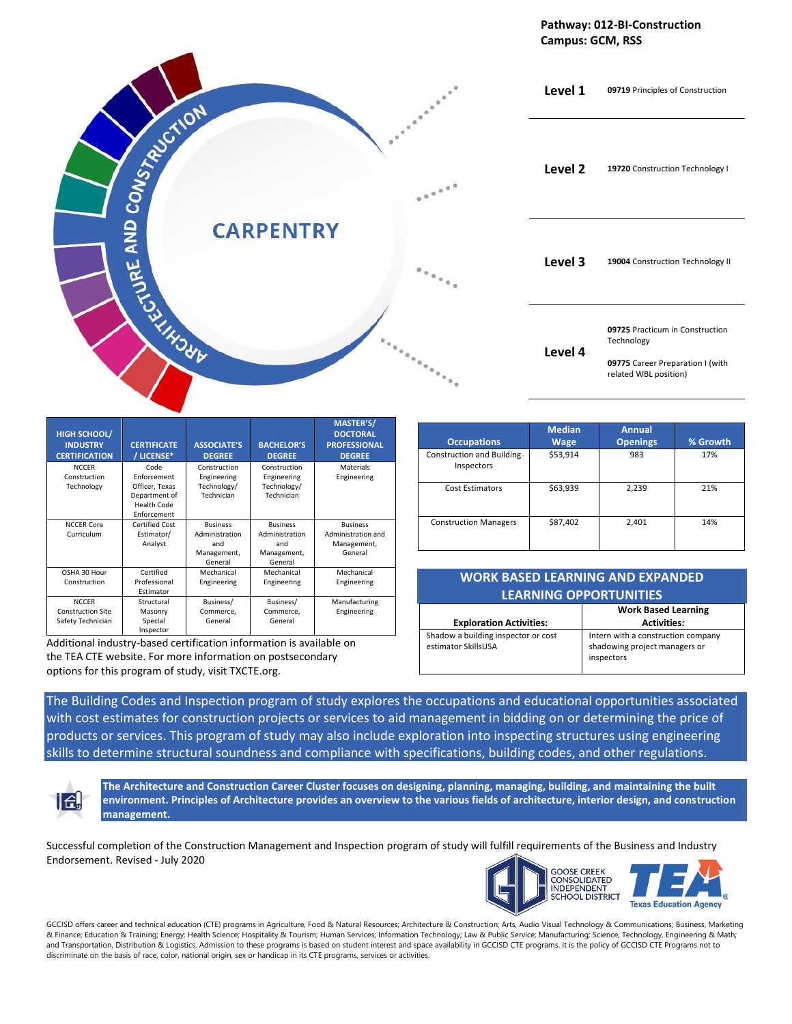



| <b>HIGH SCHOOL/</b><br><b>INDUSTRY</b><br><b>CERTIFICATION</b> | <b>CERTIFICATE</b><br>/ LICENSE* | <b>ASSOCIATE'S</b><br><b>DEGREE</b> | <b>BACHELOR'S</b><br><b>DEGREE</b> | <b>MASTER'S/</b><br><b>DOCTORAL</b><br><b>PROFESSIONAL</b><br><b>DEGREE</b> |
|----------------------------------------------------------------|----------------------------------|-------------------------------------|------------------------------------|-----------------------------------------------------------------------------|
| <b>NCCER</b>                                                   | Code                             | Construction                        | Construction                       | Materials                                                                   |
| Construction                                                   | Enforcement                      | Engineering                         | Engineering                        | Engineering                                                                 |
| Technology                                                     | Officer, Texas                   | Technology/                         | Technology/                        |                                                                             |
|                                                                | Department of                    | Technician                          | Technician                         |                                                                             |
|                                                                | Health Code                      |                                     |                                    |                                                                             |
|                                                                | Enforcement                      |                                     |                                    |                                                                             |
| <b>NCCER Core</b>                                              | Certified Cost                   | <b>Business</b>                     | <b>Business</b>                    | <b>Business</b>                                                             |
| Curriculum                                                     | Estimator/                       | Administration                      | Administration                     | Administration and                                                          |
|                                                                | Analyst                          | and                                 | and                                | Management,                                                                 |
|                                                                |                                  | Management,                         | Management,                        | General                                                                     |
|                                                                |                                  | General                             | General                            |                                                                             |
| OSHA 30 Hour                                                   | Certified                        | Mechanical                          | Mechanical                         | Mechanical                                                                  |
| Construction                                                   | Professional                     | Engineering                         | Engineering                        | Engineering                                                                 |
|                                                                | Estimator                        |                                     |                                    |                                                                             |
| <b>NCCER</b>                                                   | Structural                       | Business/                           | Business/                          | Manufacturing                                                               |
| <b>Construction Site</b>                                       | Masonry                          | Commerce,                           | Commerce,                          | Engineering                                                                 |
| Safety Technician                                              | Special                          | General                             | General                            |                                                                             |
|                                                                | Inspector                        |                                     |                                    |                                                                             |

Additional industry-based certification information is available on the TEA CTE website. For more information on postsecondary options for this program of study, visit TXCTE.org.

| <b>Occupations</b>                             | <b>Median</b><br><b>Wage</b> | <b>Annual</b><br><b>Openings</b> | % Growth |
|------------------------------------------------|------------------------------|----------------------------------|----------|
| <b>Construction and Building</b><br>Inspectors | \$53,914                     | 983                              | 17%      |
| <b>Cost Estimators</b>                         | \$63,939                     | 2,239                            | 21%      |
| <b>Construction Managers</b>                   | \$87,402                     | 2,401                            | 14%      |

## **WORK BASED LEARNING AND EXPANDED LEARNING OPPORTUNITIES**

|                                                            | <b>Work Based Learning</b>                                                        |
|------------------------------------------------------------|-----------------------------------------------------------------------------------|
| <b>Exploration Activities:</b>                             | <b>Activities:</b>                                                                |
| Shadow a building inspector or cost<br>estimator SkillsUSA | Intern with a construction company<br>shadowing project managers or<br>inspectors |

The Building Codes and Inspection program of study explores the occupations and educational opportunities associated with cost estimates for construction projects or services to aid management in bidding on or determining the price of products or services. This program of study may also include exploration into inspecting structures using engineering skills to determine structural soundness and compliance with specifications, building codes, and other regulations.



**The Architecture and Construction Career Cluster focuses on designing, planning, managing, building, and maintaining the built environment. Principles of Architecture provides an overview to the various fields of architecture, interior design, and construction management.**

Successful completion of the Construction Management and Inspection program of study will fulfill requirements of the Business and Industry Endorsement. Revised - July 2020



GCCISD offers career and technical education (CTE) programs in Agriculture, Food & Natural Resources; Architecture & Construction; Arts, Audio Visual Technology & Communications; Business, Marketing & Finance; Education & Training; Energy; Health Science; Hospitality & Tourism; Human Services; Information Technology; Law & Public Service; Manufacturing; Science, Technology, Engineering & Math; and Transportation, Distribution & Logistics. Admission to these programs is based on student interest and space availability in GCCISD CTE programs. It is the policy of GCCISD CTE Programs not to discriminate on the basis of race, color, national origin, sex or handicap in its CTE programs, services or activities.